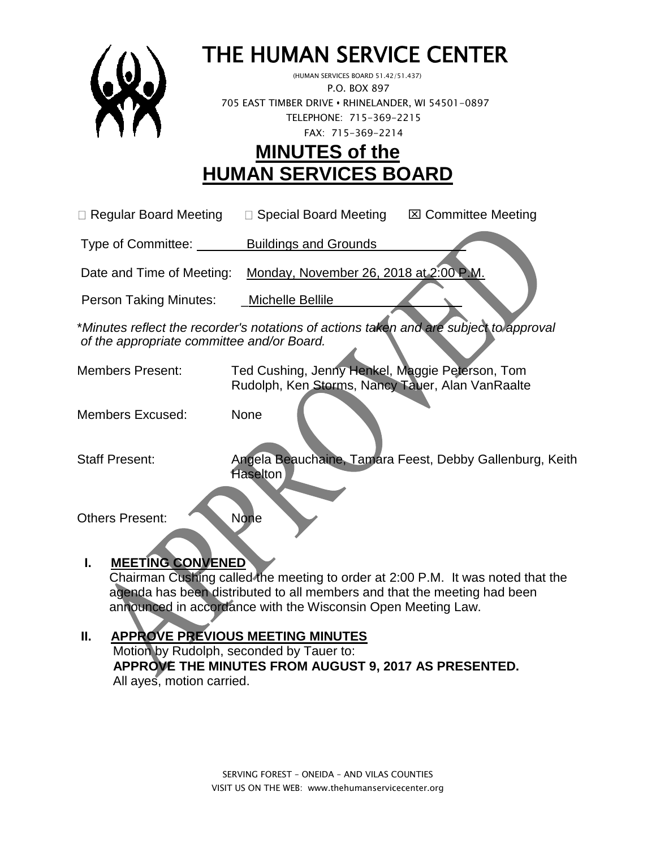

# THE HUMAN SERVICE CENTER

 (HUMAN SERVICES BOARD 51.42/51.437) P.O. BOX 897 705 EAST TIMBER DRIVE **•** RHINELANDER, WI 54501-0897 TELEPHONE: 715-369-2215 FAX: 715-369-2214

# **MINUTES of the HUMAN SERVICES BOARD**

 $\Box$  Regular Board Meeting  $\Box$  Special Board Meeting  $\Box$  Committee Meeting

Type of Committee: Buildings and Grounds \_\_\_\_\_\_\_\_\_ \_

Date and Time of Meeting: Monday, November 26, 2018 at 2:00 P.M.

Person Taking Minutes: \_\_\_\_Michelle Bellile

\**Minutes reflect the recorder's notations of actions taken and are subject to approval of the appropriate committee and/or Board.*

Members Present: Ted Cushing, Jenny Henkel, Maggie Peterson, Tom Rudolph, Ken Storms, Nancy Tauer, Alan VanRaalte

Members Excused: None

Staff Present: Angela Beauchaine, Tamara Feest, Debby Gallenburg, Keith **Haselton** 

Others Present: None

## **I. MEETING CONVENED**

 Chairman Cushing called the meeting to order at 2:00 P.M. It was noted that the agenda has been distributed to all members and that the meeting had been announced in accordance with the Wisconsin Open Meeting Law.

# **II. APPROVE PREVIOUS MEETING MINUTES**

 Motion by Rudolph, seconded by Tauer to:  **APPROVE THE MINUTES FROM AUGUST 9, 2017 AS PRESENTED.** All ayes, motion carried.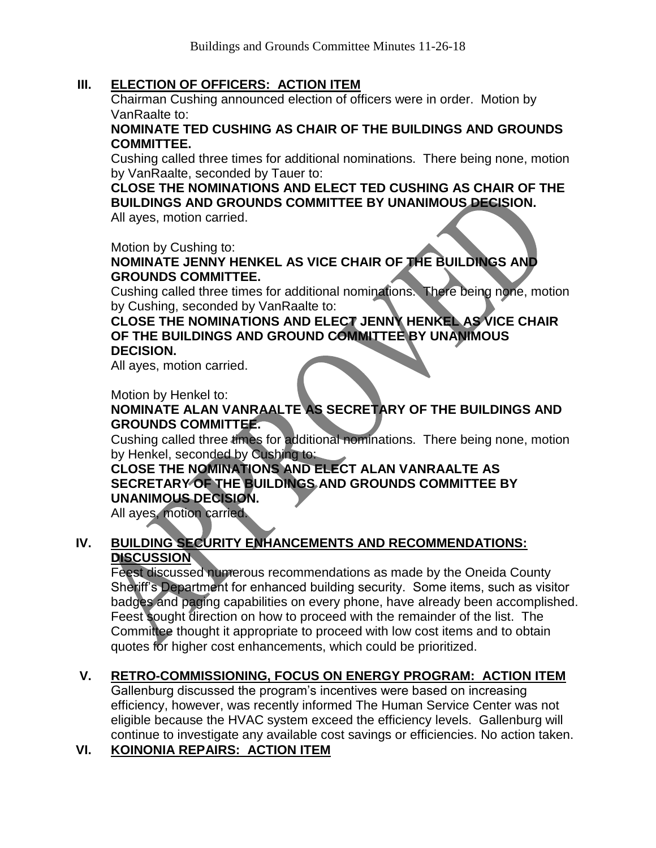#### **III. ELECTION OF OFFICERS: ACTION ITEM**

Chairman Cushing announced election of officers were in order. Motion by VanRaalte to:

#### **NOMINATE TED CUSHING AS CHAIR OF THE BUILDINGS AND GROUNDS COMMITTEE.**

Cushing called three times for additional nominations. There being none, motion by VanRaalte, seconded by Tauer to:

**CLOSE THE NOMINATIONS AND ELECT TED CUSHING AS CHAIR OF THE BUILDINGS AND GROUNDS COMMITTEE BY UNANIMOUS DECISION.**

All ayes, motion carried.

Motion by Cushing to:

**NOMINATE JENNY HENKEL AS VICE CHAIR OF THE BUILDINGS AND GROUNDS COMMITTEE.**

Cushing called three times for additional nominations. There being none, motion by Cushing, seconded by VanRaalte to:

#### **CLOSE THE NOMINATIONS AND ELECT JENNY HENKEL AS VICE CHAIR OF THE BUILDINGS AND GROUND COMMITTEE BY UNANIMOUS DECISION.**

All ayes, motion carried.

Motion by Henkel to:

#### **NOMINATE ALAN VANRAALTE AS SECRETARY OF THE BUILDINGS AND GROUNDS COMMITTEE.**

Cushing called three times for additional nominations. There being none, motion by Henkel, seconded by Cushing to:

**CLOSE THE NOMINATIONS AND ELECT ALAN VANRAALTE AS SECRETARY OF THE BUILDINGS AND GROUNDS COMMITTEE BY UNANIMOUS DECISION.**

All ayes, motion carried.

#### **IV. BUILDING SECURITY ENHANCEMENTS AND RECOMMENDATIONS: DISCUSSION**

Feest discussed numerous recommendations as made by the Oneida County Sheriff's Department for enhanced building security. Some items, such as visitor badges and paging capabilities on every phone, have already been accomplished. Feest sought direction on how to proceed with the remainder of the list. The Committee thought it appropriate to proceed with low cost items and to obtain quotes for higher cost enhancements, which could be prioritized.

## **V. RETRO-COMMISSIONING, FOCUS ON ENERGY PROGRAM: ACTION ITEM**

Gallenburg discussed the program's incentives were based on increasing efficiency, however, was recently informed The Human Service Center was not eligible because the HVAC system exceed the efficiency levels. Gallenburg will continue to investigate any available cost savings or efficiencies. No action taken.

#### **VI. KOINONIA REPAIRS: ACTION ITEM**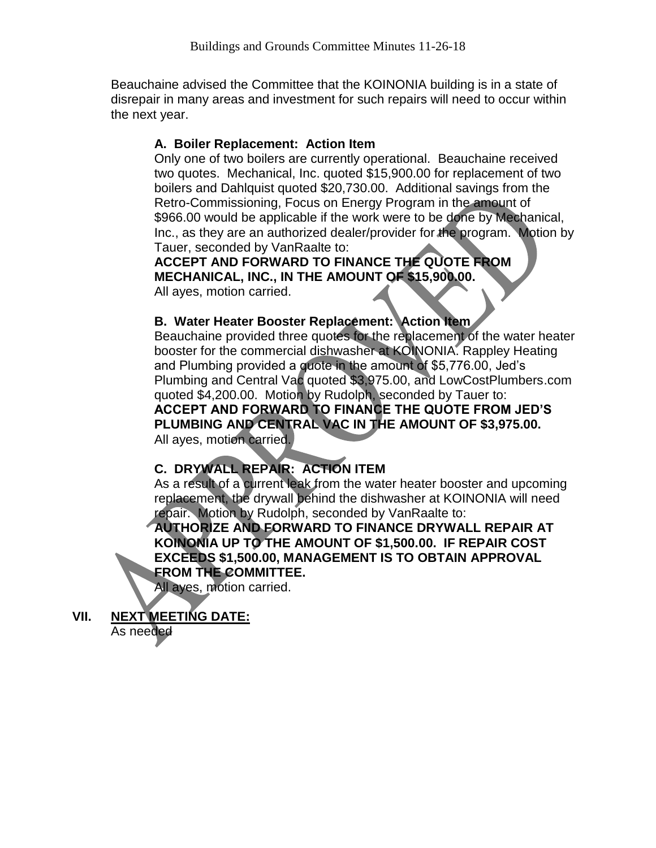Beauchaine advised the Committee that the KOINONIA building is in a state of disrepair in many areas and investment for such repairs will need to occur within the next year.

#### **A. Boiler Replacement: Action Item**

Only one of two boilers are currently operational. Beauchaine received two quotes. Mechanical, Inc. quoted \$15,900.00 for replacement of two boilers and Dahlquist quoted \$20,730.00. Additional savings from the Retro-Commissioning, Focus on Energy Program in the amount of \$966.00 would be applicable if the work were to be done by Mechanical, Inc., as they are an authorized dealer/provider for the program. Motion by Tauer, seconded by VanRaalte to:

**ACCEPT AND FORWARD TO FINANCE THE QUOTE FROM MECHANICAL, INC., IN THE AMOUNT OF \$15,900.00.** All ayes, motion carried.

#### **B. Water Heater Booster Replacement: Action Item**

Beauchaine provided three quotes for the replacement of the water heater booster for the commercial dishwasher at KOINONIA. Rappley Heating and Plumbing provided a quote in the amount of \$5,776.00, Jed's Plumbing and Central Vac quoted \$3,975.00, and LowCostPlumbers.com quoted \$4,200.00. Motion by Rudolph, seconded by Tauer to: **ACCEPT AND FORWARD TO FINANCE THE QUOTE FROM JED'S PLUMBING AND CENTRAL VAC IN THE AMOUNT OF \$3,975.00.** All ayes, motion carried.

# **C. DRYWALL REPAIR: ACTION ITEM**

As a result of a current leak from the water heater booster and upcoming replacement, the drywall behind the dishwasher at KOINONIA will need repair. Motion by Rudolph, seconded by VanRaalte to:

**AUTHORIZE AND FORWARD TO FINANCE DRYWALL REPAIR AT KOINONIA UP TO THE AMOUNT OF \$1,500.00. IF REPAIR COST EXCEEDS \$1,500.00, MANAGEMENT IS TO OBTAIN APPROVAL FROM THE COMMITTEE.**

All ayes, motion carried.

**VII. NEXT MEETING DATE:** As needed